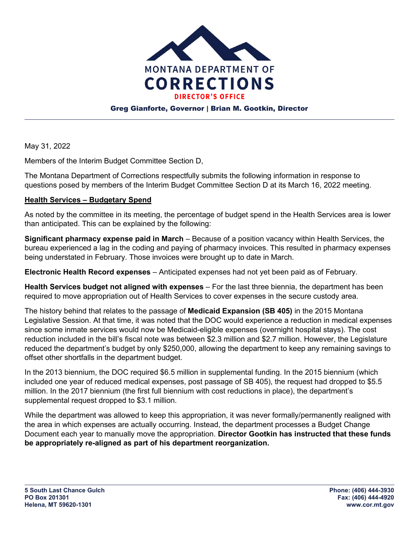

#### Greg Gianforte, Governor | Brian M. Gootkin, Director

May 31, 2022

Members of the Interim Budget Committee Section D,

The Montana Department of Corrections respectfully submits the following information in response to questions posed by members of the Interim Budget Committee Section D at its March 16, 2022 meeting.

#### **Health Services – Budgetary Spend**

As noted by the committee in its meeting, the percentage of budget spend in the Health Services area is lower than anticipated. This can be explained by the following:

**Significant pharmacy expense paid in March** – Because of a position vacancy within Health Services, the bureau experienced a lag in the coding and paying of pharmacy invoices. This resulted in pharmacy expenses being understated in February. Those invoices were brought up to date in March.

**Electronic Health Record expenses** – Anticipated expenses had not yet been paid as of February.

**Health Services budget not aligned with expenses** – For the last three biennia, the department has been required to move appropriation out of Health Services to cover expenses in the secure custody area.

The history behind that relates to the passage of **Medicaid Expansion (SB 405)** in the 2015 Montana Legislative Session. At that time, it was noted that the DOC would experience a reduction in medical expenses since some inmate services would now be Medicaid-eligible expenses (overnight hospital stays). The cost reduction included in the bill's fiscal note was between \$2.3 million and \$2.7 million. However, the Legislature reduced the department's budget by only \$250,000, allowing the department to keep any remaining savings to offset other shortfalls in the department budget.

In the 2013 biennium, the DOC required \$6.5 million in supplemental funding. In the 2015 biennium (which included one year of reduced medical expenses, post passage of SB 405), the request had dropped to \$5.5 million. In the 2017 biennium (the first full biennium with cost reductions in place), the department's supplemental request dropped to \$3.1 million.

While the department was allowed to keep this appropriation, it was never formally/permanently realigned with the area in which expenses are actually occurring. Instead, the department processes a Budget Change Document each year to manually move the appropriation. **Director Gootkin has instructed that these funds be appropriately re-aligned as part of his department reorganization.**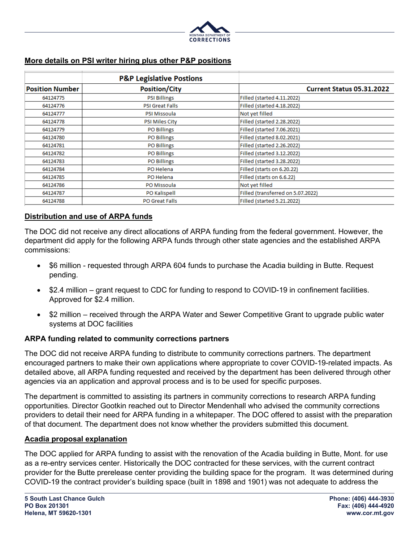

### **More details on PSI writer hiring plus other P&P positions**

|                        | <b>P&amp;P Legislative Postions</b> |                                   |  |
|------------------------|-------------------------------------|-----------------------------------|--|
| <b>Position Number</b> | <b>Position/City</b>                | <b>Current Status 05.31.2022</b>  |  |
| 64124775               | <b>PSI Billings</b>                 | Filled (started 4.11.2022)        |  |
| 64124776               | <b>PSI Great Falls</b>              | Filled (started 4.18.2022)        |  |
| 64124777               | PSI Missoula                        | Not yet filled                    |  |
| 64124778               | <b>PSI Miles City</b>               | Filled (started 2.28.2022)        |  |
| 64124779               | <b>PO Billings</b>                  | Filled (started 7.06.2021)        |  |
| 64124780               | <b>PO Billings</b>                  | Filled (started 8.02.2021)        |  |
| 64124781               | <b>PO Billings</b>                  | Filled (started 2.26.2022)        |  |
| 64124782               | <b>PO Billings</b>                  | Filled (started 3.12.2022)        |  |
| 64124783               | <b>PO Billings</b>                  | Filled (started 3.28.2022)        |  |
| 64124784               | PO Helena                           | Filled (starts on 6.20.22)        |  |
| 64124785               | PO Helena                           | Filled (starts on 6.6.22)         |  |
| 64124786               | PO Missoula                         | Not yet filled                    |  |
| 64124787               | PO Kalispell                        | Filled (transferred on 5.07.2022) |  |
| 64124788               | <b>PO Great Falls</b>               | Filled (started 5.21.2022)        |  |

#### **Distribution and use of ARPA funds**

The DOC did not receive any direct allocations of ARPA funding from the federal government. However, the department did apply for the following ARPA funds through other state agencies and the established ARPA commissions:

- \$6 million requested through ARPA 604 funds to purchase the Acadia building in Butte. Request pending.
- \$2.4 million grant request to CDC for funding to respond to COVID-19 in confinement facilities. Approved for \$2.4 million.
- \$2 million received through the ARPA Water and Sewer Competitive Grant to upgrade public water systems at DOC facilities

#### **ARPA funding related to community corrections partners**

The DOC did not receive ARPA funding to distribute to community corrections partners. The department encouraged partners to make their own applications where appropriate to cover COVID-19-related impacts. As detailed above, all ARPA funding requested and received by the department has been delivered through other agencies via an application and approval process and is to be used for specific purposes.

The department is committed to assisting its partners in community corrections to research ARPA funding opportunities. Director Gootkin reached out to Director Mendenhall who advised the community corrections providers to detail their need for ARPA funding in a whitepaper. The DOC offered to assist with the preparation of that document. The department does not know whether the providers submitted this document.

#### **Acadia proposal explanation**

The DOC applied for ARPA funding to assist with the renovation of the Acadia building in Butte, Mont. for use as a re-entry services center. Historically the DOC contracted for these services, with the current contract provider for the Butte prerelease center providing the building space for the program. It was determined during COVID-19 the contract provider's building space (built in 1898 and 1901) was not adequate to address the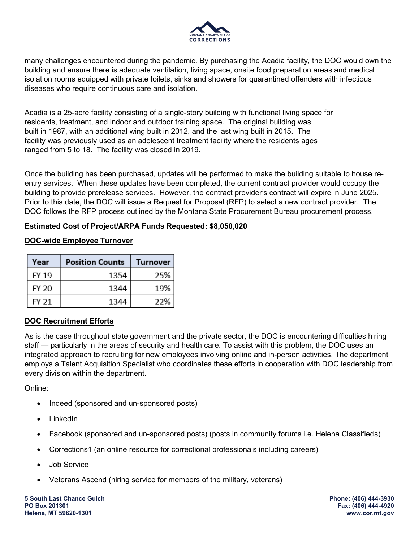

many challenges encountered during the pandemic. By purchasing the Acadia facility, the DOC would own the building and ensure there is adequate ventilation, living space, onsite food preparation areas and medical isolation rooms equipped with private toilets, sinks and showers for quarantined offenders with infectious diseases who require continuous care and isolation.

Acadia is a 25-acre facility consisting of a single-story building with functional living space for residents, treatment, and indoor and outdoor training space. The original building was built in 1987, with an additional wing built in 2012, and the last wing built in 2015. The facility was previously used as an adolescent treatment facility where the residents ages ranged from 5 to 18. The facility was closed in 2019.

Once the building has been purchased, updates will be performed to make the building suitable to house reentry services. When these updates have been completed, the current contract provider would occupy the building to provide prerelease services. However, the contract provider's contract will expire in June 2025. Prior to this date, the DOC will issue a Request for Proposal (RFP) to select a new contract provider. The DOC follows the RFP process outlined by the Montana State Procurement Bureau procurement process.

### **Estimated Cost of Project/ARPA Funds Requested: \$8,050,020**

### **DOC-wide Employee Turnover**

| Year         | <b>Position Counts</b> | <b>Turnover</b> |
|--------------|------------------------|-----------------|
| FY 19        | 1354                   | 25%             |
| <b>FY 20</b> | 1344                   | 19%             |
| FY 21        | 1344                   | 22%             |

# **DOC Recruitment Efforts**

As is the case throughout state government and the private sector, the DOC is encountering difficulties hiring staff — particularly in the areas of security and health care. To assist with this problem, the DOC uses an integrated approach to recruiting for new employees involving online and in-person activities. The department employs a Talent Acquisition Specialist who coordinates these efforts in cooperation with DOC leadership from every division within the department.

Online:

- Indeed (sponsored and un-sponsored posts)
- LinkedIn
- Facebook (sponsored and un-sponsored posts) (posts in community forums i.e. Helena Classifieds)
- Corrections1 (an online resource for correctional professionals including careers)
- Job Service
- Veterans Ascend (hiring service for members of the military, veterans)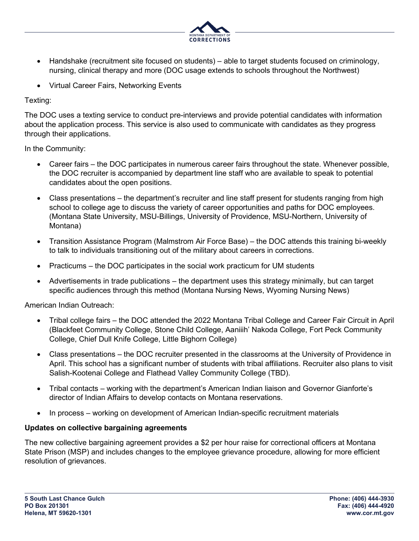

- Handshake (recruitment site focused on students) able to target students focused on criminology, nursing, clinical therapy and more (DOC usage extends to schools throughout the Northwest)
- Virtual Career Fairs, Networking Events

Texting:

The DOC uses a texting service to conduct pre-interviews and provide potential candidates with information about the application process. This service is also used to communicate with candidates as they progress through their applications.

In the Community:

- Career fairs the DOC participates in numerous career fairs throughout the state. Whenever possible, the DOC recruiter is accompanied by department line staff who are available to speak to potential candidates about the open positions.
- Class presentations the department's recruiter and line staff present for students ranging from high school to college age to discuss the variety of career opportunities and paths for DOC employees. (Montana State University, MSU-Billings, University of Providence, MSU-Northern, University of Montana)
- Transition Assistance Program (Malmstrom Air Force Base) the DOC attends this training bi-weekly to talk to individuals transitioning out of the military about careers in corrections.
- Practicums the DOC participates in the social work practicum for UM students
- Advertisements in trade publications the department uses this strategy minimally, but can target specific audiences through this method (Montana Nursing News, Wyoming Nursing News)

American Indian Outreach:

- Tribal college fairs the DOC attended the 2022 Montana Tribal College and Career Fair Circuit in April (Blackfeet Community College, Stone Child College, Aaniiih' Nakoda College, Fort Peck Community College, Chief Dull Knife College, Little Bighorn College)
- Class presentations the DOC recruiter presented in the classrooms at the University of Providence in April. This school has a significant number of students with tribal affiliations. Recruiter also plans to visit Salish-Kootenai College and Flathead Valley Community College (TBD).
- Tribal contacts working with the department's American Indian liaison and Governor Gianforte's director of Indian Affairs to develop contacts on Montana reservations.
- In process working on development of American Indian-specific recruitment materials

# **Updates on collective bargaining agreements**

The new collective bargaining agreement provides a \$2 per hour raise for correctional officers at Montana State Prison (MSP) and includes changes to the employee grievance procedure, allowing for more efficient resolution of grievances.